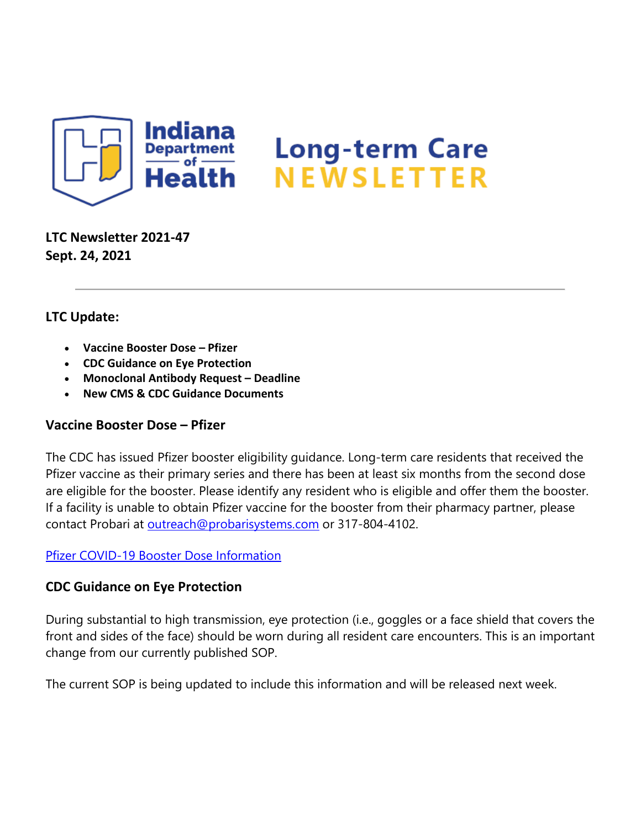

**LTC Newsletter 2021-47 Sept. 24, 2021**

# **LTC Update:**

- **Vaccine Booster Dose – Pfizer**
- **CDC Guidance on Eye Protection**
- **Monoclonal Antibody Request – Deadline**
- **New CMS & CDC Guidance Documents**

# **Vaccine Booster Dose – Pfizer**

The CDC has issued Pfizer booster eligibility guidance. Long-term care residents that received the Pfizer vaccine as their primary series and there has been at least six months from the second dose are eligible for the booster. Please identify any resident who is eligible and offer them the booster. If a facility is unable to obtain Pfizer vaccine for the booster from their pharmacy partner, please contact Probari at [outreach@probarisystems.com](mailto:outreach@probarisystems.com) or 317-804-4102.

### [Pfizer COVID-19 Booster Dose Information](https://protect2.fireeye.com/v1/url?k=401aa922-1f819034-401ee022-8681d5b5fa8e-99e778d295dfe99e&q=1&e=7c78c4a4-c7f0-4d3a-950e-d147bef6975f&u=https%3A%2F%2Fcontent.govdelivery.com%2Fattachments%2FINSDH%2F2021%2F09%2F24%2Ffile_attachments%2F1948399%2FPfizer%2520booster%25209.24.21.pdf)

# **CDC Guidance on Eye Protection**

During substantial to high transmission, eye protection (i.e., goggles or a face shield that covers the front and sides of the face) should be worn during all resident care encounters. This is an important change from our currently published SOP.

The current SOP is being updated to include this information and will be released next week.